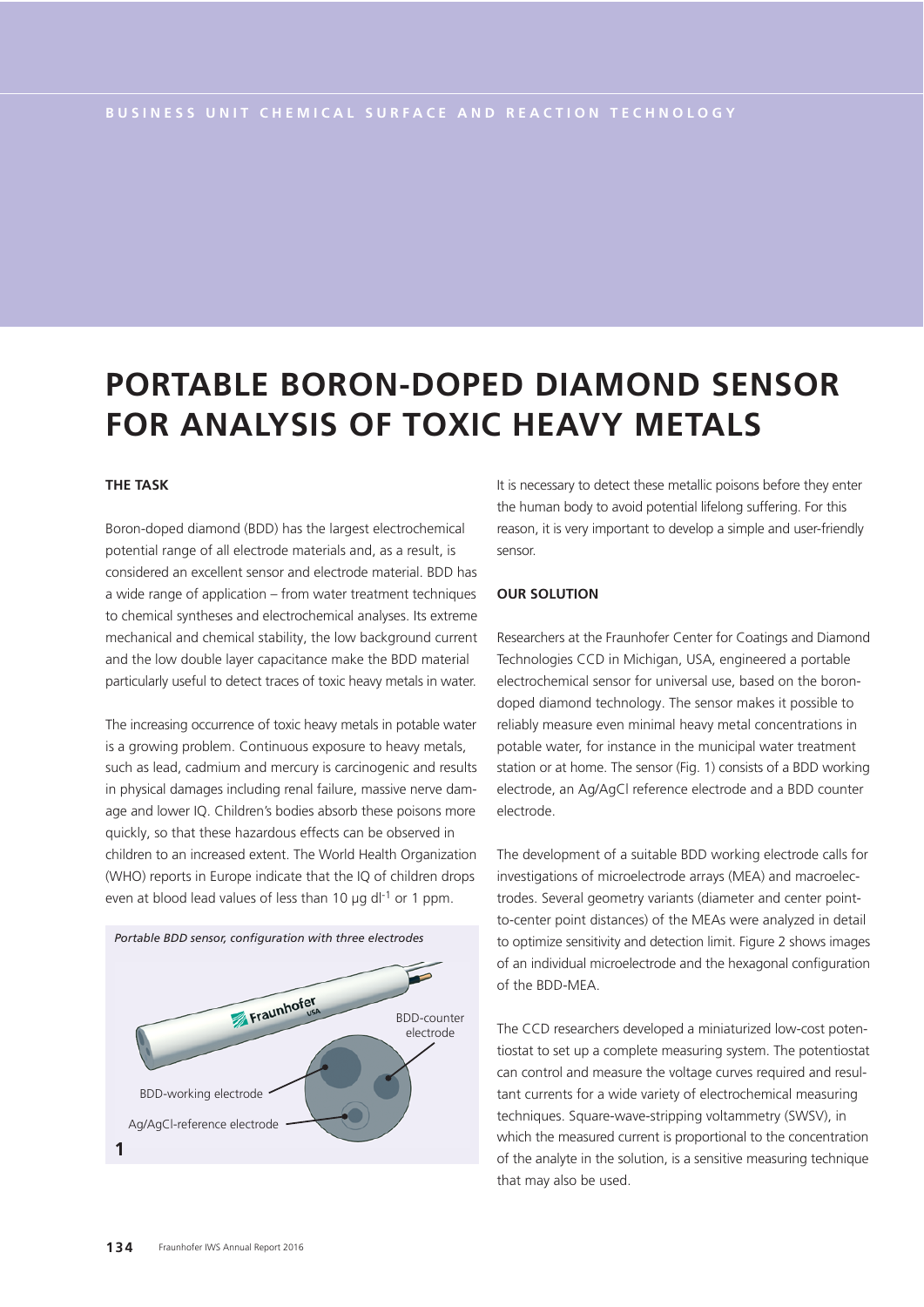# **PORTABLE BORON-DOPED DIAMOND SENSOR FOR ANALYSIS OF TOXIC HEAVY METALS**

## **THE TASK**

Boron-doped diamond (BDD) has the largest electrochemical potential range of all electrode materials and, as a result, is considered an excellent sensor and electrode material. BDD has a wide range of application – from water treatment techniques to chemical syntheses and electrochemical analyses. Its extreme mechanical and chemical stability, the low background current and the low double layer capacitance make the BDD material particularly useful to detect traces of toxic heavy metals in water.

The increasing occurrence of toxic heavy metals in potable water is a growing problem. Continuous exposure to heavy metals, such as lead, cadmium and mercury is carcinogenic and results in physical damages including renal failure, massive nerve damage and lower IQ. Children's bodies absorb these poisons more quickly, so that these hazardous effects can be observed in children to an increased extent. The World Health Organization (WHO) reports in Europe indicate that the IQ of children drops even at blood lead values of less than 10  $\mu$ g dl<sup>-1</sup> or 1 ppm.



It is necessary to detect these metallic poisons before they enter the human body to avoid potential lifelong suffering. For this reason, it is very important to develop a simple and user-friendly sensor.

### **OUR SOLUTION**

Researchers at the Fraunhofer Center for Coatings and Diamond Technologies CCD in Michigan, USA, engineered a portable electrochemical sensor for universal use, based on the borondoped diamond technology. The sensor makes it possible to reliably measure even minimal heavy metal concentrations in potable water, for instance in the municipal water treatment station or at home. The sensor (Fig. 1) consists of a BDD working electrode, an Ag/AgCl reference electrode and a BDD counter electrode.

The development of a suitable BDD working electrode calls for investigations of microelectrode arrays (MEA) and macroelectrodes. Several geometry variants (diameter and center pointto-center point distances) of the MEAs were analyzed in detail to optimize sensitivity and detection limit. Figure 2 shows images of an individual microelectrode and the hexagonal configuration of the BDD-MEA.

The CCD researchers developed a miniaturized low-cost potentiostat to set up a complete measuring system. The potentiostat can control and measure the voltage curves required and resultant currents for a wide variety of electrochemical measuring techniques. Square-wave-stripping voltammetry (SWSV), in which the measured current is proportional to the concentration of the analyte in the solution, is a sensitive measuring technique that may also be used.